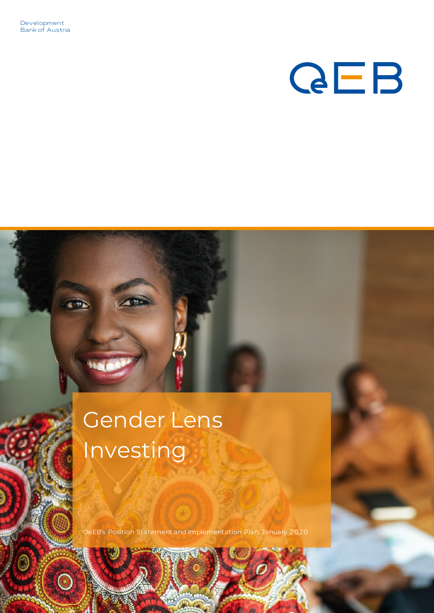Development Bank of Austria

# **QEB**

# Gender Lens Investing

OeEB's Position Statement and Implementation Plan, January 2020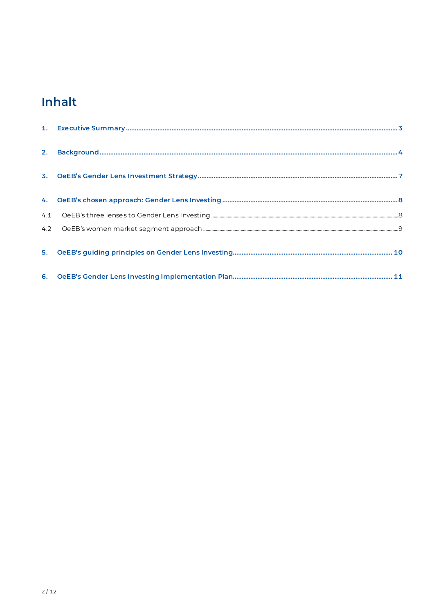# Inhalt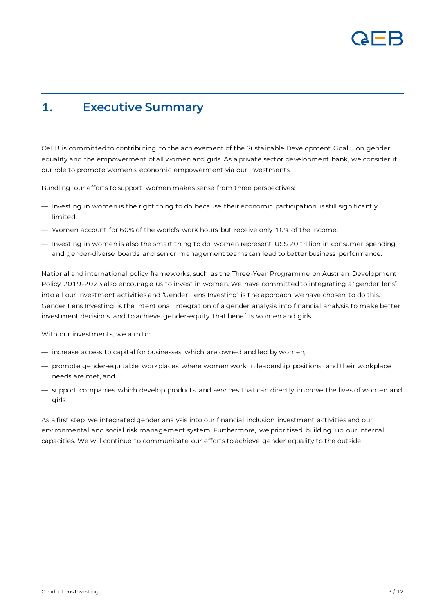

#### <span id="page-2-0"></span>**1. Executive Summary**

OeEB is committed to contributing to the achievement of the Sustainable Development Goal 5 on gender equality and the empowerment of all women and girls. As a private sector development bank, we consider it our role to promote women's economic empowerment via our investments.

Bundling our efforts to support women makes sense from three perspectives:

- Investing in women is the right thing to do because their economic participation is still significantly limited.
- Women account for 60% of the world's work hours but receive only 10% of the income.
- Investing in women is also the smart thing to do: women represent US\$ 20 trillion in consumer spending and gender-diverse boards and senior management teams can lead to better business performance.

National and international policy frameworks, such as the Three-Year Programme on Austrian Development Policy 2019-2023 also encourage us to invest in women. We have committed to integrating a "gender lens" into all our investment activities and 'Gender Lens Investing' is the approach we have chosen to do this. Gender Lens Investing is the intentional integration of a gender analysis into financial analysis to make better investment decisions and to achieve gender-equity that benefits women and girls.

With our investments, we aim to:

- increase access to capital for businesses which are owned and led by women,
- promote gender-equitable workplaces where women work in leadership positions, and their workplace needs are met, and
- support companies which develop products and services that can directly improve the lives of women and girls.

As a first step, we integrated gender analysis into our financial inclusion investment activities and our environmental and social risk management system. Furthermore, we prioritised building up our internal capacities. We will continue to communicate our efforts to achieve gender equality to the outside.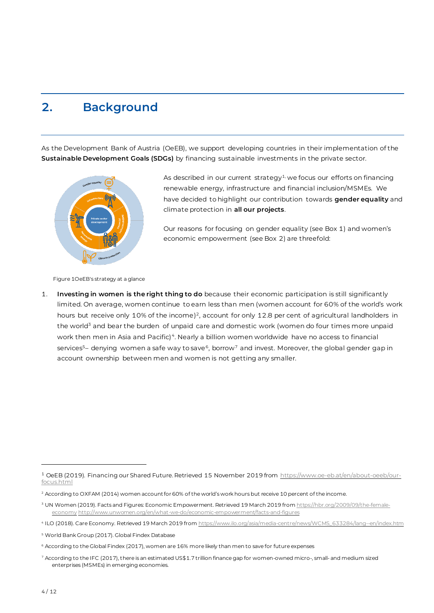### <span id="page-3-0"></span>**2. Background**

As the Development Bank of Austria (OeEB), we support developing countries in their implementation of the **Sustainable Development Goals (SDGs)** by financing sustainable investments in the private sector.



As described in our current strategy<sup>1,</sup> we focus our efforts on financing renewable energy, infrastructure and financial inclusion/MSMEs. We have decided to highlight our contribution towards **gender equality** and climate protection in **all our projects**.

Our reasons for focusing on gender equality (see Box 1) and women's economic empowerment (see Box 2) are threefold:

Figure 1OeEB's strategy at a glance

1. **Investing in women is the right thing to do** because their economic participation is still significantly limited. On average, women continue to earn less than men (women account for 60% of the world's work hours but receive only 10% of the income)<sup>2</sup>, account for only 12.8 per cent of agricultural landholders in the world<sup>3</sup> and bear the burden of unpaid care and domestic work (women do four times more unpaid work then men in Asia and Pacific) $^4$ . Nearly a billion women worldwide  $\,$ have no access to financial  $\,$ services $^5$ – denying women a safe way to save $^6$ , borrow $^7$  and invest. Moreover, the global gender gap in account ownership between men and women is not getting any smaller.

<sup>&</sup>lt;sup>1</sup> OeEB (2019). Financing our Shared Future. Retrieved 15 November 2019 from [https://www.oe-eb.at/en/about-oeeb/our](https://www.oe-eb.at/en/about-oeeb/our-focus.html)[focus.html](https://www.oe-eb.at/en/about-oeeb/our-focus.html)

<sup>&</sup>lt;sup>2</sup> According to OXFAM (2014) women account for 60% of the world's work hours but receive 10 percent of the income.

<sup>&</sup>lt;sup>3</sup> UN Women (2019). Facts and Figures: Economic Empowerment. Retrieved 19 March 2019 fro[m https://hbr.org/2009/09/the-female](https://hbr.org/2009/09/the-female-economy)[economy](https://hbr.org/2009/09/the-female-economy) <http://www.unwomen.org/en/what-we-do/economic-empowerment/facts-and-figures>

<sup>4</sup> ILO (2018). Care Economy. Retrieved 19 March 2019 from [https://www.ilo.org/asia/media-centre/news/WCMS\\_633284/lang--en/index.htm](https://www.ilo.org/asia/media-centre/news/WCMS_633284/lang--en/index.htm)

<sup>5</sup> World Bank Group (2017). Global Findex Database

<sup>6</sup> According to the Global Findex (2017), women are 16% more likely than men to save for future expenses

<sup>7</sup> According to the IFC (2017), there is an estimated US\$1.7 trillion finance gap for women-owned micro-, small- and medium sized enterprises (MSMEs) in emerging economies.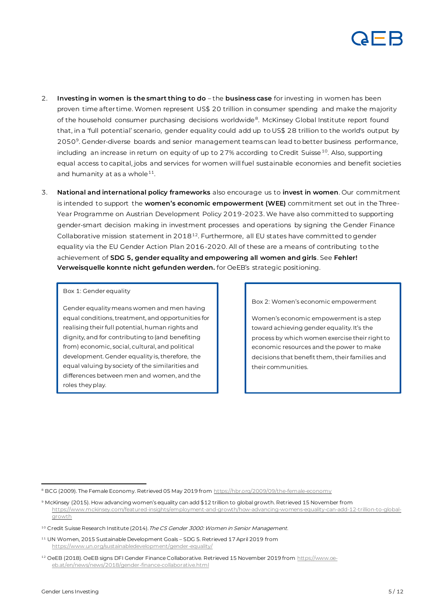

- 2. **Investing in women is the smart thing to do** the **business case** for investing in women has been proven time after time. Women represent US\$ 20 trillion in consumer spending and make the majority of the household consumer purchasing decisions worldwide<sup>8</sup>. McKinsey Global Institute report found that, in a 'full potential' scenario, gender equality could add up to US\$ 28 trillion to the world's output by 2050<sup>9</sup>. Gender-diverse boards and senior management teams can lead to better business performance, including an increase in return on equity of up to 27% according to Credit Suisse<sup>10</sup>. Also, supporting equal access to capital, jobs and services for women will fuel sustainable economies and benefit societies and humanity at as a whole $^{\rm 11}.$
- 3. **National and international policy frameworks** also encourage us to **invest in women**. Our commitment is intended to support the **women's economic empowerment (WEE)** commitment set out in the Three-Year Programme on Austrian Development Policy 2019-2023. We have also committed to supporting gender-smart decision making in investment processes and operations by signing the Gender Finance Collaborative mission statement in  $2018^{12}$ . Furthermore, all EU states have committed to gender equality via the EU Gender Action Plan 2016-2020. All of these are a means of contributing to the achievement of **SDG 5, gender equality and empowering all women and girls**. See **Fehler! Verweisquelle konnte nicht gefunden werden.** for OeEB's strategic positioning.

#### Box 1: Gender equality

Gender equality means women and men having equal conditions, treatment, and opportunities for realising their full potential, human rights and dignity, and for contributing to (and benefiting from) economic, social, cultural, and political development. Gender equality is, therefore, the equal valuing by society of the similarities and differences between men and women, and the roles they play.

#### Box 2: Women's economic empowerment

Women's economic empowerment is a step toward achieving gender equality. It's the process by which women exercise their right to economic resources and the power to make decisions that benefit them, their families and their communities.

<sup>&</sup>lt;sup>8</sup> BCG (2009). The Female Economy. Retrieved 05 May 2019 fro[m https://hbr.org/2009/09/the-female-economy](https://hbr.org/2009/09/the-female-economy)

<sup>9</sup> McKinsey (2015). How advancing women's equality can add \$12 trillion to global growth. Retrieved 15 November from [https://www.mckinsey.com/featured-insights/employment-and-growth/how-advancing-womens-equality-can-add-12-trillion-to-global](https://www.mckinsey.com/featured-insights/employment-and-growth/how-advancing-womens-equality-can-add-12-trillion-to-global-growth)[growth](https://www.mckinsey.com/featured-insights/employment-and-growth/how-advancing-womens-equality-can-add-12-trillion-to-global-growth)

<sup>&</sup>lt;sup>10</sup> Credit Suisse Research Institute (2014). The CS Gender 3000: Women in Senior Management.

<sup>11</sup> UN Women, 2015 Sustainable Development Goals – SDG 5. Retrieved 17 April 2019 from <https://www.un.org/sustainabledevelopment/gender-equality/>

<sup>&</sup>lt;sup>12</sup> OeEB (2018). OeEB signs DFI Gender Finance Collaborative. Retrieved 15 November 2019 fro[m https://www.oe](https://www.oe-eb.at/en/news/news/2018/gender-finance-collaborative.html)[eb.at/en/news/news/2018/gender-finance-collaborative.html](https://www.oe-eb.at/en/news/news/2018/gender-finance-collaborative.html)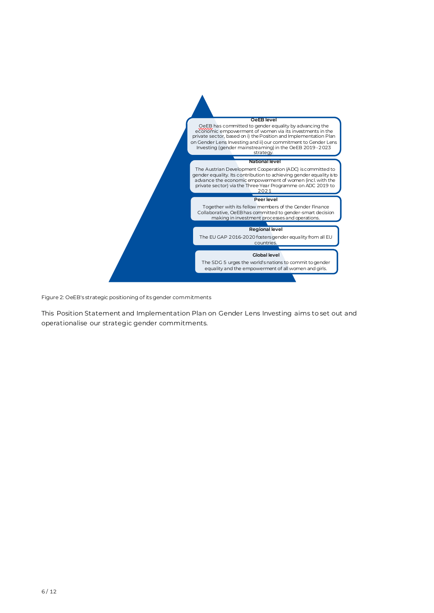

Figure 2: OeEB's strategic positioning of its gender commitments

This Position Statement and Implementation Plan on Gender Lens Investing aims to set out and operationalise our strategic gender commitments.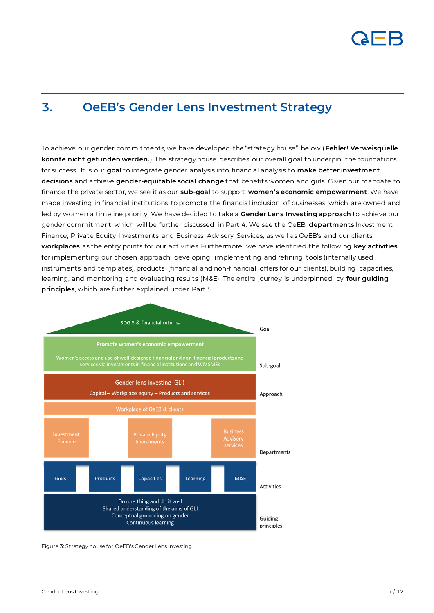

#### <span id="page-6-0"></span>**3. OeEB's Gender Lens Investment Strategy**

To achieve our gender commitments, we have developed the "strategy house" below (**Fehler! Verweisquelle konnte nicht gefunden werden.**). The strategy house describes our overall goal to underpin the foundations for success. It is our **goal** to integrate gender analysis into financial analysis to **make better investment decisions** and achieve **gender-equitable social change** that benefits women and girls. Given our mandate to finance the private sector, we see it as our **sub-goal** to support **women's economic empowerment**. We have made investing in financial institutions to promote the financial inclusion of businesses which are owned and led by women a timeline priority. We have decided to take a **Gender Lens Investing approach** to achieve our gender commitment, which will be further discussed in Part 4. We see the OeEB **departments** Investment Finance, Private Equity Investments and Business Advisory Services, as well as OeEB's and our clients' **workplaces** as the entry points for our activities. Furthermore, we have identified the following **key activities** for implementing our chosen approach: developing, implementing and refining tools (internally used instruments and templates), products (financial and non-financial offers for our clients), building capacities, learning, and monitoring and evaluating results (M&E). The entire journey is underpinned by **four guiding principles**, which are further explained under Part 5.



Figure 3: Strategy house for OeEB's Gender Lens Investing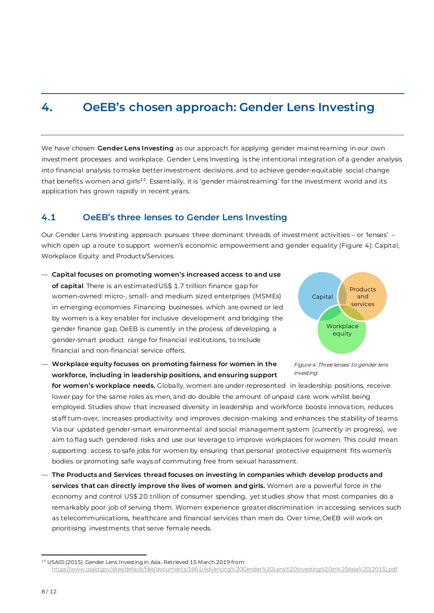#### <span id="page-7-0"></span>**4. OeEB's chosen approach: Gender Lens Investing**

We have chosen **Gender Lens Investing** as our approach for applying gender mainstreaming in our own investment processes and workplace. Gender Lens Investing is the intentional integration of a gender analysis into financial analysis to make better investment decisions and to achieve gender-equitable social change that benefits women and girls<sup>13</sup>. Essentially, it is 'gender mainstreaming' for the investment world and its application has grown rapidly in recent years.

#### <span id="page-7-1"></span>**4.1 OeEB's three lenses to Gender Lens Investing**

Our Gender Lens Investing approach pursues three dominant threads of investment activities – or 'lenses' – which open up a route to support women's economic empowerment and gender equality (Figure 4): Capital, Workplace Equity and Products/Services.

- **Capital focuses on promoting women's increased access to and use of capital**. There is an estimated US\$ 1.7 trillion finance gap for women-owned micro-, small- and medium sized enterprises (MSMEs) in emerging economies. Financing businesses which are owned or led by women is a key enabler for inclusive development and bridging the gender finance gap. OeEB is currently in the process of developing a gender-smart product range for financial institutions, to include financial and non-financial service offers.
- **Workplace equity focuses on promoting fairness for women in the workforce, including in leadership positions, and ensuring support**



Figure 4: Three lenses to gender lens investing

**for women's workplace needs.** Globally, women are under-represented in leadership positions, receive lower pay for the same roles as men, and do double the amount of unpaid care work whilst being employed. Studies show that increased diversity in leadership and workforce boosts innova tion, reduces staff turn-over, increases productivity and improves decision-making and enhances the stability of teams. Via our updated gender-smart environmental and social management system (currently in progress), we aim to flag such gendered risks and use our leverage to improve workplaces for women. This could mean supporting access to safe jobs for women by ensuring that personal protective equipment fits women's bodies or promoting safe ways of commuting free from sexual harassment.

— **The Products and Services thread focuses on investing in companies which develop products and services that can directly improve the lives of women and girls.** Women are a powerful force in the economy and control US\$ 20 trillion of consumer spending, yet studies show that most companies do a remarkably poor job of serving them. Women experience greater discrimination in accessing services such as telecommunications, healthcare and financial services than men do. Over time, OeEB will work on prioritising investments that serve female needs.

<sup>&</sup>lt;sup>13</sup> USAID (2015). Gender Lens Investing in Asia. Retrieved 15 March 2019 from

[https://www.usaid.gov/sites/default/files/documents/1861/Advancing%20Gender%20Lens%20Investing%20in%20Asia%20\(2015\).pdf](https://www.usaid.gov/sites/default/files/documents/1861/Advancing%20Gender%20Lens%20Investing%20in%20Asia%20(2015).pdf)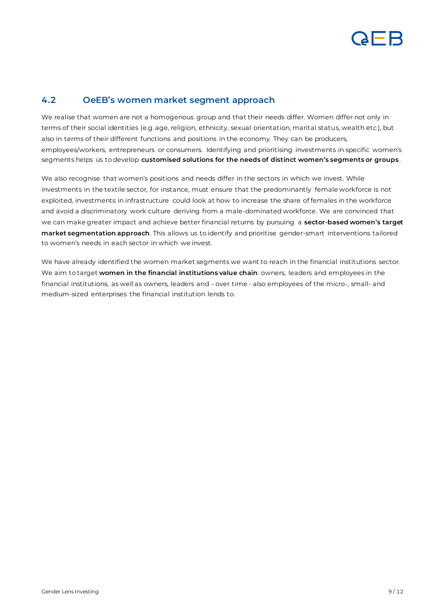

#### <span id="page-8-0"></span>**4.2 OeEB's women market segment approach**

We realise that women are not a homogenous group and that their needs differ. Women differ not only in terms of their social identities (e.g. age, religion, ethnicity, sexual orientation, marital status, wealth etc.), but also in terms of their different functions and positions in the economy. They can be producers, employees/workers, entrepreneurs or consumers. Identifying and prioritising investments in specific women's segments helps us to develop **customised solutions for the needs of distinct women's segments or groups**.

We also recognise that women's positions and needs differ in the sectors in which we invest. While investments in the textile sector, for instance, must ensure that the predominantly female workforce is not exploited, investments in infrastructure could look at how to increase the share of females in the workforce and avoid a discriminatory work culture deriving from a male-dominated workforce. We are convinced that we can make greater impact and achieve better financial returns by pursuing a **sector-based women's target market segmentation approach**. This allows us to identify and prioritise gender-smart interventions tailored to women's needs in each sector in which we invest.

We have already identified the women market segments we want to reach in the financial institutions sector. We aim to target **women in the financial institutions value chain**: owners, leaders and employees in the financial institutions, as well as owners, leaders and - over time - also employees of the micro-, small- and medium-sized enterprises the financial institution lends to.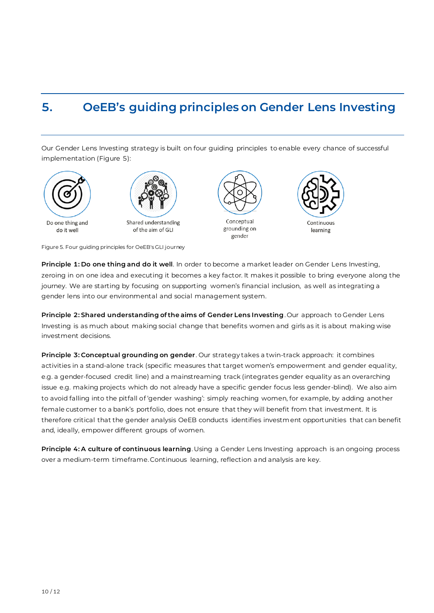### <span id="page-9-0"></span>**5. OeEB's guiding principles on Gender Lens Investing**

Our Gender Lens Investing strategy is built on four guiding principles to enable every chance of successful implementation [\(Figure 5](#page-9-1)):





Shared understanding of the aim of GLI





learning

<span id="page-9-1"></span>Figure 5. Four guiding principles for OeEB's GLI journey

**Principle 1: Do one thing and do it well**. In order to become a market leader on Gender Lens Investing, zeroing in on one idea and executing it becomes a key factor. It makes it possible to bring everyone along the journey. We are starting by focusing on supporting women's financial inclusion, as well as integrating a gender lens into our environmental and social management system.

**Principle 2: Shared understanding of the aims of Gender Lens Investing**. Our approach to Gender Lens Investing is as much about making social change that benefits women and girls as it is about making wise investment decisions.

**Principle 3: Conceptual grounding on gender**. Our strategy takes a twin-track approach: it combines activities in a stand-alone track (specific measures that target women's empowerment and gender equality, e.g. a gender-focused credit line) and a mainstreaming track (integrates gender equality as an overarching issue e.g. making projects which do not already have a specific gender focus less gender-blind). We also aim to avoid falling into the pitfall of 'gender washing': simply reaching women, for example, by adding another female customer to a bank's portfolio, does not ensure that they will benefit from that investment. It is therefore critical that the gender analysis OeEB conducts identifies investment opportunities that can benefit and, ideally, empower different groups of women.

**Principle 4: A culture of continuous learning**. Using a Gender Lens Investing approach is an ongoing process over a medium-term timeframe. Continuous learning, reflection and analysis are key.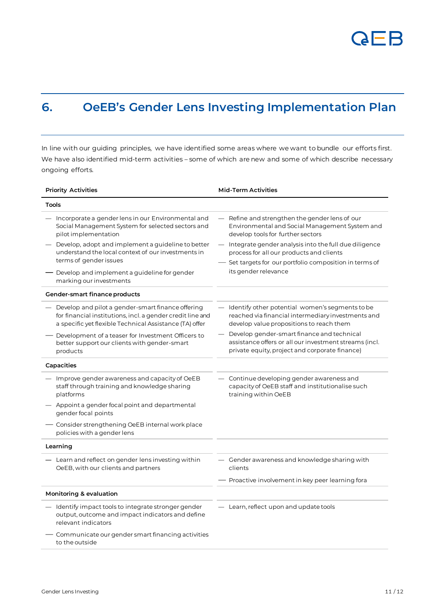

## <span id="page-10-0"></span>**6. OeEB's Gender Lens Investing Implementation Plan**

In line with our guiding principles, we have identified some areas where we want to bundle our efforts first. We have also identified mid-term activities – some of which are new and some of which describe necessary ongoing efforts.

| <b>Priority Activities</b>                                                                                                                                                 | <b>Mid-Term Activities</b>                                                                                                                               |  |
|----------------------------------------------------------------------------------------------------------------------------------------------------------------------------|----------------------------------------------------------------------------------------------------------------------------------------------------------|--|
| Tools                                                                                                                                                                      |                                                                                                                                                          |  |
| Incorporate a gender lens in our Environmental and<br>Social Management System for selected sectors and<br>pilot implementation                                            | - Refine and strengthen the gender lens of our<br>Environmental and Social Management System and<br>develop tools for further sectors                    |  |
| Develop, adopt and implement a guideline to better<br>understand the local context of our investments in<br>terms of gender issues                                         | - Integrate gender analysis into the full due diligence<br>process for all our products and clients                                                      |  |
| — Develop and implement a guideline for gender<br>marking our investments                                                                                                  | - Set targets for our portfolio composition in terms of<br>its gender relevance                                                                          |  |
| Gender-smart finance products                                                                                                                                              |                                                                                                                                                          |  |
| Develop and pilot a gender-smart finance offering<br>for financial institutions, incl. a gender credit line and<br>a specific yet flexible Technical Assistance (TA) offer | - Identify other potential women's segments to be<br>reached via financial intermediary investments and<br>develop value propositions to reach them      |  |
| Development of a teaser for Investment Officers to<br>better support our clients with gender-smart<br>products                                                             | - Develop gender-smart finance and technical<br>assistance offers or all our investment streams (incl.<br>private equity, project and corporate finance) |  |
| Capacities                                                                                                                                                                 |                                                                                                                                                          |  |
| - Improve gender awareness and capacity of OeEB<br>staff through training and knowledge sharing<br>platforms                                                               | Continue developing gender awareness and<br>capacity of OeEB staff and institutionalise such<br>training within OeEB                                     |  |
| Appoint a gender focal point and departmental<br>gender focal points                                                                                                       |                                                                                                                                                          |  |
| Consider strengthening OeEB internal work place<br>policies with a gender lens                                                                                             |                                                                                                                                                          |  |
| Learning                                                                                                                                                                   |                                                                                                                                                          |  |
| - Learn and reflect on gender lens investing within<br>OeEB, with our clients and partners                                                                                 | - Gender awareness and knowledge sharing with<br>clients                                                                                                 |  |
|                                                                                                                                                                            | - Proactive involvement in key peer learning fora                                                                                                        |  |
| Monitoring & evaluation                                                                                                                                                    |                                                                                                                                                          |  |
| Identify impact tools to integrate stronger gender<br>output, outcome and impact indicators and define<br>relevant indicators                                              | - Learn, reflect upon and update tools                                                                                                                   |  |
| Communicate our gender smart financing activities<br>to the outside                                                                                                        |                                                                                                                                                          |  |